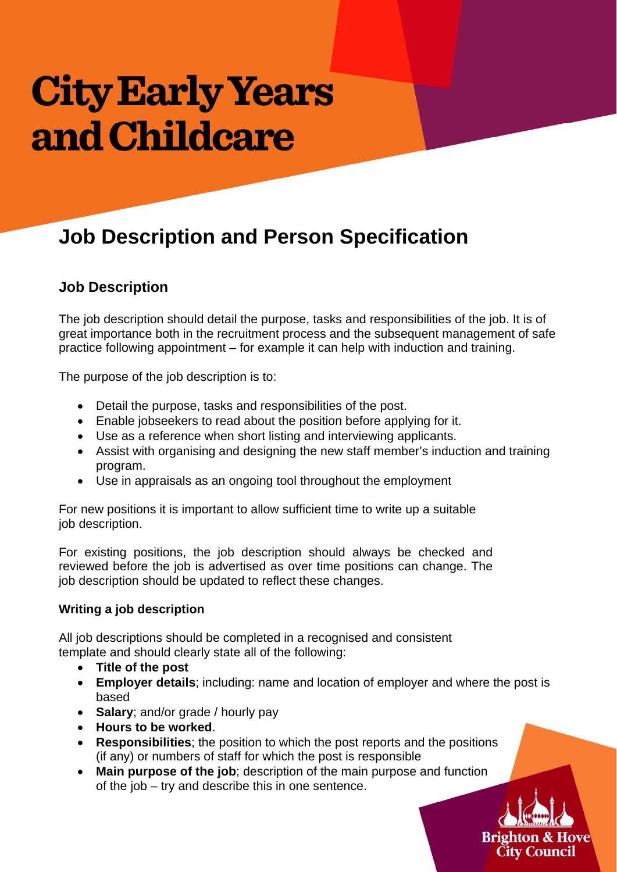# **City Early Years** and Childcare

# **Job Description and Person Specification**

## **Job Description**

The job description should detail the purpose, tasks and responsibilities of the job. It is of great importance both in the recruitment process and the subsequent management of safe practice following appointment – for example it can help with induction and training.

The purpose of the job description is to:

- Detail the purpose, tasks and responsibilities of the post.
- Enable jobseekers to read about the position before applying for it.
- Use as a reference when short listing and interviewing applicants.
- Assist with organising and designing the new staff member's induction and training program.
- Use in appraisals as an ongoing tool throughout the employment

For new positions it is important to allow sufficient time to write up a suitable job description.

For existing positions, the job description should always be checked and reviewed before the job is advertised as over time positions can change. The job description should be updated to reflect these changes.

#### **Writing a job description**

All job descriptions should be completed in a recognised and consistent template and should clearly state all of the following:

- **Title of the post**
- **Employer details**; including: name and location of employer and where the post is based
- **Salary:** and/or grade / hourly pay
- **Hours to be worked**.
- **Responsibilities**; the position to which the post reports and the positions (if any) or numbers of staff for which the post is responsible
- **Main purpose of the job**; description of the main purpose and function of the job – try and describe this in one sentence.

**Brighton & Hove City Council**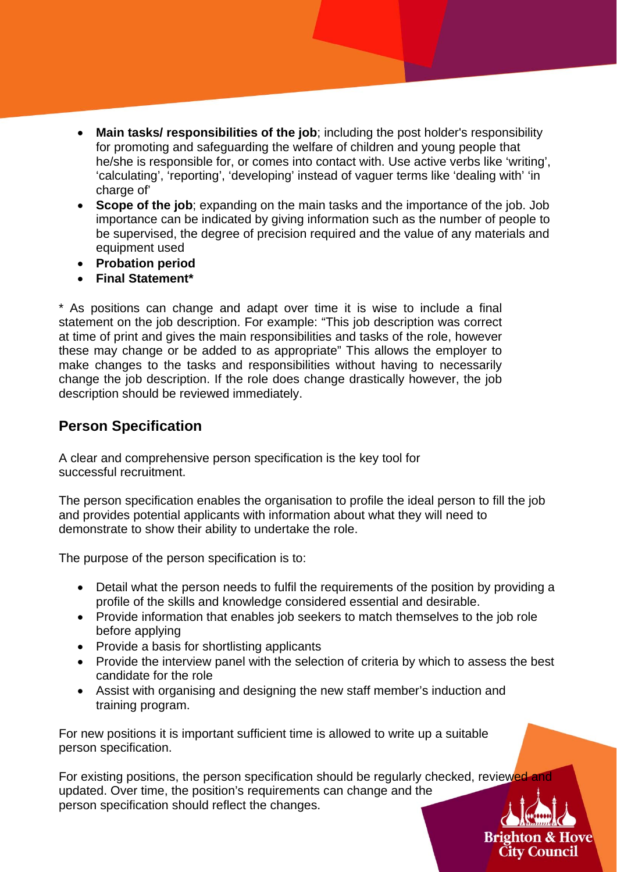- **Main tasks/ responsibilities of the job**; including the post holder's responsibility for promoting and safeguarding the welfare of children and young people that he/she is responsible for, or comes into contact with. Use active verbs like 'writing', 'calculating', 'reporting', 'developing' instead of vaguer terms like 'dealing with' 'in charge of'
- **Scope of the job**; expanding on the main tasks and the importance of the job. Job importance can be indicated by giving information such as the number of people to be supervised, the degree of precision required and the value of any materials and equipment used
- **Probation period**
- **Final Statement\***

\* As positions can change and adapt over time it is wise to include a final statement on the job description. For example: "This job description was correct at time of print and gives the main responsibilities and tasks of the role, however these may change or be added to as appropriate" This allows the employer to make changes to the tasks and responsibilities without having to necessarily change the job description. If the role does change drastically however, the job description should be reviewed immediately.

### **Person Specification**

A clear and comprehensive person specification is the key tool for successful recruitment.

The person specification enables the organisation to profile the ideal person to fill the job and provides potential applicants with information about what they will need to demonstrate to show their ability to undertake the role.

The purpose of the person specification is to:

- Detail what the person needs to fulfil the requirements of the position by providing a profile of the skills and knowledge considered essential and desirable.
- Provide information that enables job seekers to match themselves to the job role before applying
- Provide a basis for shortlisting applicants
- Provide the interview panel with the selection of criteria by which to assess the best candidate for the role
- Assist with organising and designing the new staff member's induction and training program.

For new positions it is important sufficient time is allowed to write up a suitable person specification.

For existing positions, the person specification should be regularly checked, reviewed updated. Over time, the position's requirements can change and the person specification should reflect the changes.

> **Brighton & Hove City Council**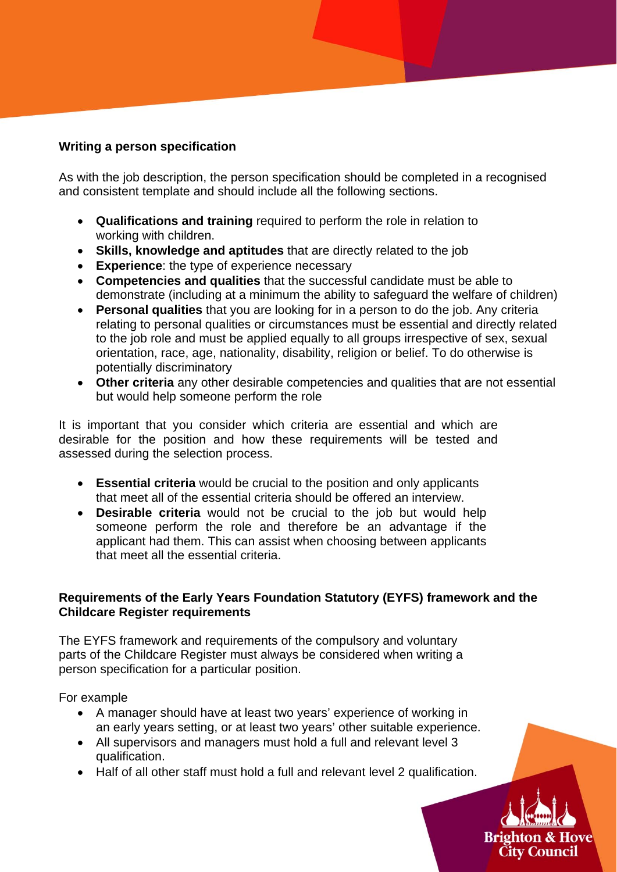#### **Writing a person specification**

As with the job description, the person specification should be completed in a recognised and consistent template and should include all the following sections.

- **Qualifications and training** required to perform the role in relation to working with children.
- **Skills, knowledge and aptitudes** that are directly related to the job
- **Experience**: the type of experience necessary
- **Competencies and qualities** that the successful candidate must be able to demonstrate (including at a minimum the ability to safeguard the welfare of children)
- **Personal qualities** that you are looking for in a person to do the job. Any criteria relating to personal qualities or circumstances must be essential and directly related to the job role and must be applied equally to all groups irrespective of sex, sexual orientation, race, age, nationality, disability, religion or belief. To do otherwise is potentially discriminatory
- **Other criteria** any other desirable competencies and qualities that are not essential but would help someone perform the role

It is important that you consider which criteria are essential and which are desirable for the position and how these requirements will be tested and assessed during the selection process.

- **Essential criteria** would be crucial to the position and only applicants that meet all of the essential criteria should be offered an interview.
- **Desirable criteria** would not be crucial to the job but would help someone perform the role and therefore be an advantage if the applicant had them. This can assist when choosing between applicants that meet all the essential criteria.

#### **Requirements of the Early Years Foundation Statutory (EYFS) framework and the Childcare Register requirements**

The EYFS framework and requirements of the compulsory and voluntary parts of the Childcare Register must always be considered when writing a person specification for a particular position.

For example

- A manager should have at least two years' experience of working in an early years setting, or at least two years' other suitable experience.
- All supervisors and managers must hold a full and relevant level 3 qualification.
- Half of all other staff must hold a full and relevant level 2 qualification.

**Brighton & Hove City Council**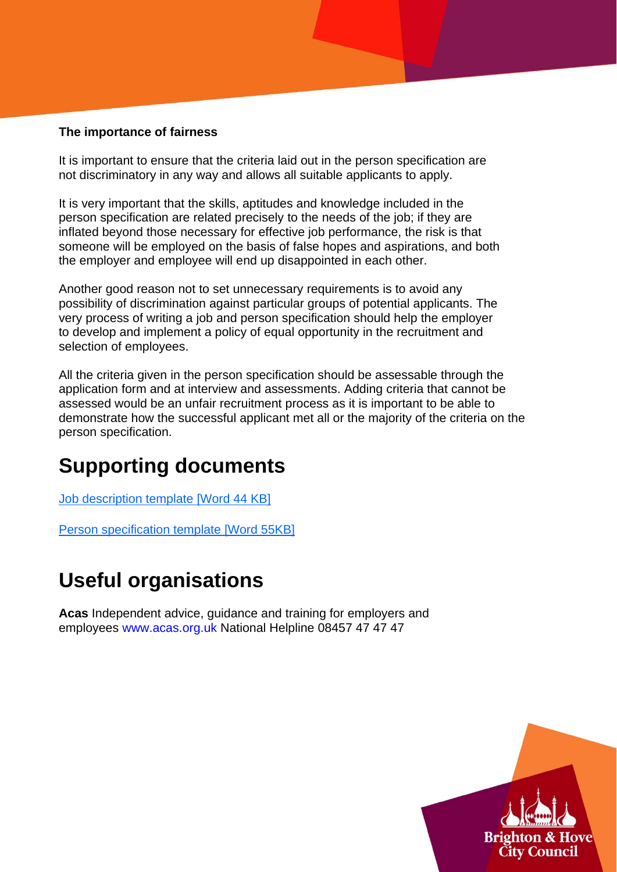#### **The importance of fairness**

It is important to ensure that the criteria laid out in the person specification are not discriminatory in any way and allows all suitable applicants to apply.

It is very important that the skills, aptitudes and knowledge included in the person specification are related precisely to the needs of the job; if they are inflated beyond those necessary for effective job performance, the risk is that someone will be employed on the basis of false hopes and aspirations, and both the employer and employee will end up disappointed in each other.

Another good reason not to set unnecessary requirements is to avoid any possibility of discrimination against particular groups of potential applicants. The very process of writing a job and person specification should help the employer to develop and implement a policy of equal opportunity in the recruitment and selection of employees.

All the criteria given in the person specification should be assessable through the application form and at interview and assessments. Adding criteria that cannot be assessed would be an unfair recruitment process as it is important to be able to demonstrate how the successful applicant met all or the majority of the criteria on the person specification.

## **Supporting documents**

Job description template [Word 44 KB]

Person specification template [Word 55KB]

## **Useful organisations**

**Acas** Independent advice, guidance and training for employers and employees www.acas.org.uk National Helpline 08457 47 47 47

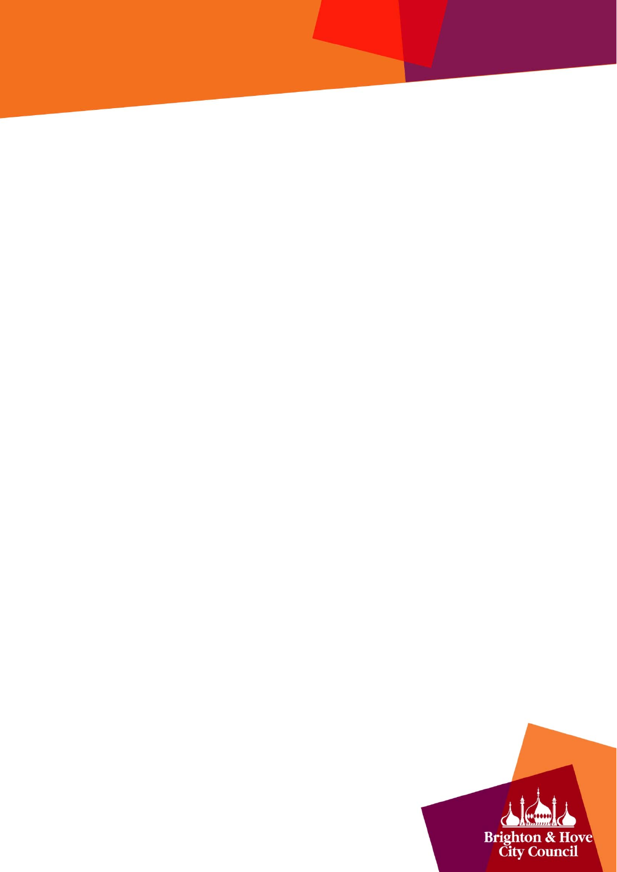